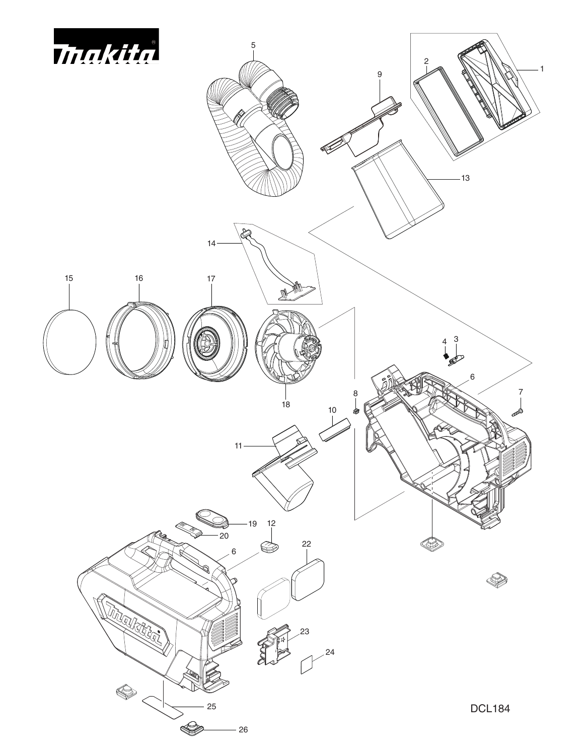